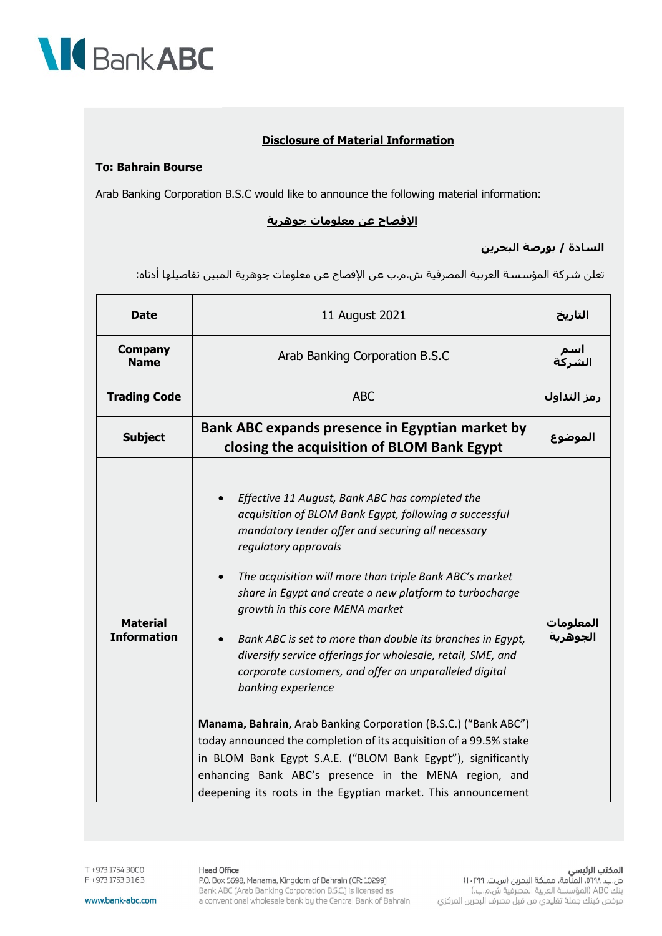

## **Disclosure of Material Information**

#### **To: Bahrain Bourse**

Arab Banking Corporation B.S.C would like to announce the following material information:

#### **الإفصاح عن معلومات جوھریة**

### **السادة / بورصة البحرین**

تعلن شركة المؤسسة العربیة المصرفیة ش.م.ب عن الإفصاح عن معلومات جوھریة المبین تفاصیلھا أدناه:

| <b>Date</b>                           | 11 August 2021                                                                                                                                                                                                                                                                                                                                                                                                                                                                                                                                                                                                                                                                                                                                                                                                                                                                                                                         | التاريخ               |
|---------------------------------------|----------------------------------------------------------------------------------------------------------------------------------------------------------------------------------------------------------------------------------------------------------------------------------------------------------------------------------------------------------------------------------------------------------------------------------------------------------------------------------------------------------------------------------------------------------------------------------------------------------------------------------------------------------------------------------------------------------------------------------------------------------------------------------------------------------------------------------------------------------------------------------------------------------------------------------------|-----------------------|
| <b>Company</b><br><b>Name</b>         | Arab Banking Corporation B.S.C                                                                                                                                                                                                                                                                                                                                                                                                                                                                                                                                                                                                                                                                                                                                                                                                                                                                                                         | اسم<br>الشركة         |
| <b>Trading Code</b>                   | <b>ABC</b>                                                                                                                                                                                                                                                                                                                                                                                                                                                                                                                                                                                                                                                                                                                                                                                                                                                                                                                             | رمز التداول           |
| <b>Subject</b>                        | Bank ABC expands presence in Egyptian market by<br>closing the acquisition of BLOM Bank Egypt                                                                                                                                                                                                                                                                                                                                                                                                                                                                                                                                                                                                                                                                                                                                                                                                                                          | الموضوع               |
| <b>Material</b><br><b>Information</b> | Effective 11 August, Bank ABC has completed the<br>$\bullet$<br>acquisition of BLOM Bank Egypt, following a successful<br>mandatory tender offer and securing all necessary<br>regulatory approvals<br>The acquisition will more than triple Bank ABC's market<br>$\bullet$<br>share in Egypt and create a new platform to turbocharge<br>growth in this core MENA market<br>Bank ABC is set to more than double its branches in Egypt,<br>$\bullet$<br>diversify service offerings for wholesale, retail, SME, and<br>corporate customers, and offer an unparalleled digital<br>banking experience<br>Manama, Bahrain, Arab Banking Corporation (B.S.C.) ("Bank ABC")<br>today announced the completion of its acquisition of a 99.5% stake<br>in BLOM Bank Egypt S.A.E. ("BLOM Bank Egypt"), significantly<br>enhancing Bank ABC's presence in the MENA region, and<br>deepening its roots in the Egyptian market. This announcement | المعلومات<br>الجوهرية |

T +973 1754 3000 F +973 1753 3163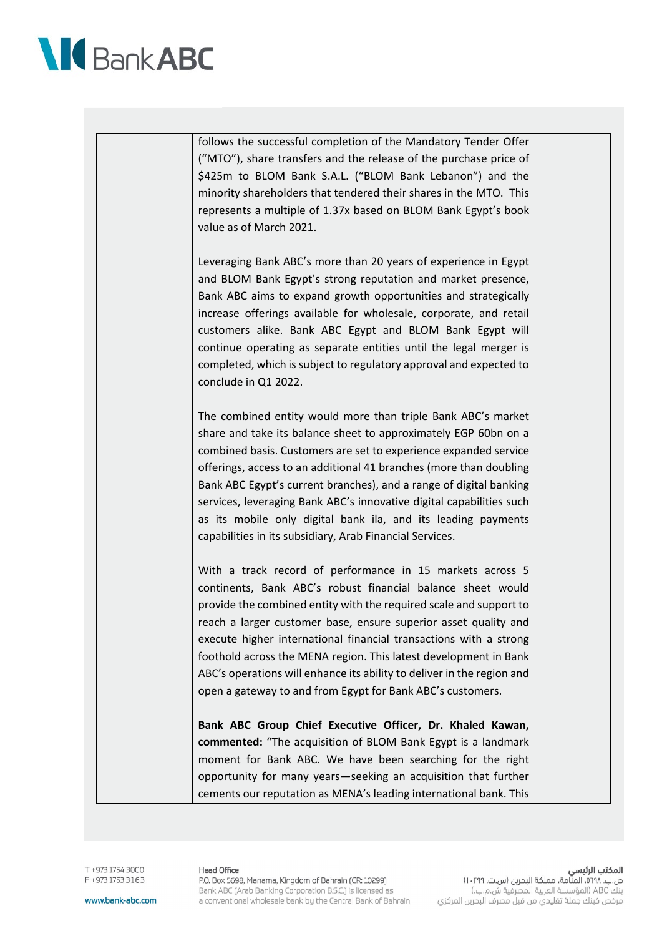

follows the successful completion of the Mandatory Tender Offer ("MTO"), share transfers and the release of the purchase price of \$425m to BLOM Bank S.A.L. ("BLOM Bank Lebanon") and the minority shareholders that tendered their shares in the MTO. This represents a multiple of 1.37x based on BLOM Bank Egypt's book value as of March 2021.

Leveraging Bank ABC's more than 20 years of experience in Egypt and BLOM Bank Egypt's strong reputation and market presence, Bank ABC aims to expand growth opportunities and strategically increase offerings available for wholesale, corporate, and retail customers alike. Bank ABC Egypt and BLOM Bank Egypt will continue operating as separate entities until the legal merger is completed, which is subject to regulatory approval and expected to conclude in Q1 2022.

The combined entity would more than triple Bank ABC's market share and take its balance sheet to approximately EGP 60bn on a combined basis. Customers are set to experience expanded service offerings, access to an additional 41 branches (more than doubling Bank ABC Egypt's current branches), and a range of digital banking services, leveraging Bank ABC's innovative digital capabilities such as its mobile only digital bank ila, and its leading payments capabilities in its subsidiary, Arab Financial Services.

With a track record of performance in 15 markets across 5 continents, Bank ABC's robust financial balance sheet would provide the combined entity with the required scale and support to reach a larger customer base, ensure superior asset quality and execute higher international financial transactions with a strong foothold across the MENA region. This latest development in Bank ABC's operations will enhance its ability to deliver in the region and open a gateway to and from Egypt for Bank ABC's customers.

**Bank ABC Group Chief Executive Officer, Dr. Khaled Kawan, commented:** "The acquisition of BLOM Bank Egypt is a landmark moment for Bank ABC. We have been searching for the right opportunity for many years—seeking an acquisition that further cements our reputation as MENA's leading international bank. This

DOOS A251 FCR+ T F +973 1753 3163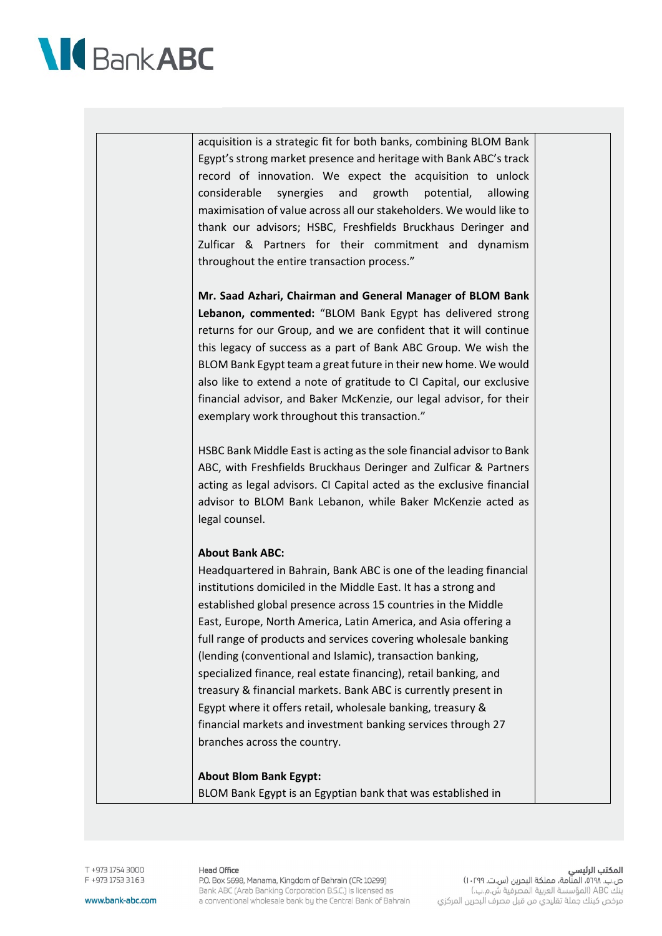

acquisition is a strategic fit for both banks, combining BLOM Bank Egypt's strong market presence and heritage with Bank ABC's track record of innovation. We expect the acquisition to unlock considerable synergies and growth potential, allowing maximisation of value across all our stakeholders. We would like to thank our advisors; HSBC, Freshfields Bruckhaus Deringer and Zulficar & Partners for their commitment and dynamism throughout the entire transaction process."

**Mr. Saad Azhari, Chairman and General Manager of BLOM Bank Lebanon, commented:** "BLOM Bank Egypt has delivered strong returns for our Group, and we are confident that it will continue this legacy of success as a part of Bank ABC Group. We wish the BLOM Bank Egypt team a great future in their new home. We would also like to extend a note of gratitude to CI Capital, our exclusive financial advisor, and Baker McKenzie, our legal advisor, for their exemplary work throughout this transaction."

HSBC Bank Middle East is acting as the sole financial advisor to Bank ABC, with Freshfields Bruckhaus Deringer and Zulficar & Partners acting as legal advisors. CI Capital acted as the exclusive financial advisor to BLOM Bank Lebanon, while Baker McKenzie acted as legal counsel.

#### **About Bank ABC:**

Headquartered in Bahrain, Bank ABC is one of the leading financial institutions domiciled in the Middle East. It has a strong and established global presence across 15 countries in the Middle East, Europe, North America, Latin America, and Asia offering a full range of products and services covering wholesale banking (lending (conventional and Islamic), transaction banking, specialized finance, real estate financing), retail banking, and treasury & financial markets. Bank ABC is currently present in Egypt where it offers retail, wholesale banking, treasury & financial markets and investment banking services through 27 branches across the country.

#### **About Blom Bank Egypt:**

BLOM Bank Egypt is an Egyptian bank that was established in

DOOS A251 FCR+ T F +973 1753 3163 **Head Office** P.O. Box 5698, Manama, Kingdom of Bahrain (CR: 10299) Bank ABC (Arab Banking Corporation B.S.C.) is licensed as a conventional wholesale bank by the Central Bank of Bahrain

المكتب الرئيسى ص.ب. ٥٦٩٨، المنّامة، مملكة البحرين (س.ت. ١٠٢٩٩) بنك ABC (المؤسسة العربية المصرفية ش.م.ب.) مرخص كبنك جملة تقليدي من قبل مصرف البحرين المركزي

www.bank-abc.com